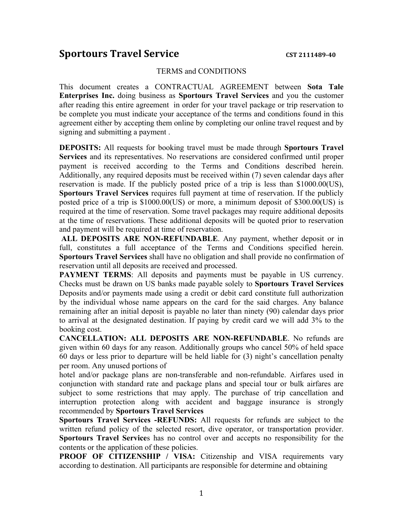## **Sportours Travel Service CST 2111489-40**

## TERMS and CONDITIONS

This document creates a CONTRACTUAL AGREEMENT between **Sota Tale Enterprises Inc.** doing business as **Sportours Travel Services** and you the customer after reading this entire agreement in order for your travel package or trip reservation to be complete you must indicate your acceptance of the terms and conditions found in this agreement either by accepting them online by completing our online travel request and by signing and submitting a payment .

**DEPOSITS:** All requests for booking travel must be made through **Sportours Travel Services** and its representatives. No reservations are considered confirmed until proper payment is received according to the Terms and Conditions described herein. Additionally, any required deposits must be received within (7) seven calendar days after reservation is made. If the publicly posted price of a trip is less than \$1000.00(US), **Sportours Travel Services** requires full payment at time of reservation. If the publicly posted price of a trip is \$1000.00(US) or more, a minimum deposit of \$300.00(US) is required at the time of reservation. Some travel packages may require additional deposits at the time of reservations. These additional deposits will be quoted prior to reservation and payment will be required at time of reservation.

**ALL DEPOSITS ARE NON-REFUNDABLE**. Any payment, whether deposit or in full, constitutes a full acceptance of the Terms and Conditions specified herein. **Sportours Travel Services** shall have no obligation and shall provide no confirmation of reservation until all deposits are received and processed.

**PAYMENT TERMS:** All deposits and payments must be payable in US currency. Checks must be drawn on US banks made payable solely to **Sportours Travel Services** Deposits and/or payments made using a credit or debit card constitute full authorization by the individual whose name appears on the card for the said charges. Any balance remaining after an initial deposit is payable no later than ninety (90) calendar days prior to arrival at the designated destination. If paying by credit card we will add 3% to the booking cost.

**CANCELLATION: ALL DEPOSITS ARE NON-REFUNDABLE**. No refunds are given within 60 days for any reason. Additionally groups who cancel 50% of held space 60 days or less prior to departure will be held liable for (3) night's cancellation penalty per room. Any unused portions of

hotel and/or package plans are non-transferable and non-refundable. Airfares used in conjunction with standard rate and package plans and special tour or bulk airfares are subject to some restrictions that may apply. The purchase of trip cancellation and interruption protection along with accident and baggage insurance is strongly recommended by **Sportours Travel Services**

**Sportours Travel Services -REFUNDS:** All requests for refunds are subject to the written refund policy of the selected resort, dive operator, or transportation provider. **Sportours Travel Service**s has no control over and accepts no responsibility for the contents or the application of these policies.

**PROOF OF CITIZENSHIP / VISA:** Citizenship and VISA requirements vary according to destination. All participants are responsible for determine and obtaining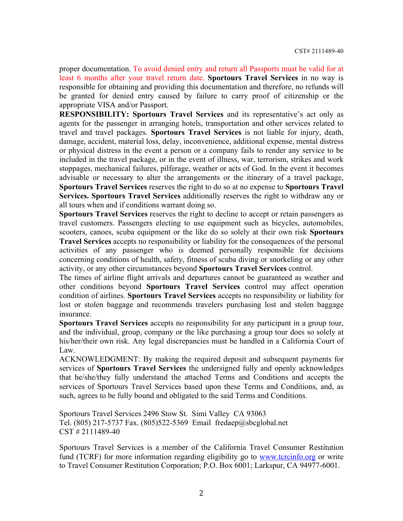proper documentation. To avoid denied entry and return all Passports must be valid for at least 6 months after your travel return date. **Sportours Travel Services** in no way is responsible for obtaining and providing this documentation and therefore, no refunds will be granted for denied entry caused by failure to carry proof of citizenship or the appropriate VISA and/or Passport.

**RESPONSIBILITY: Sportours Travel Services** and its representative's act only as agents for the passenger in arranging hotels, transportation and other services related to travel and travel packages. **Sportours Travel Services** is not liable for injury, death, damage, accident, material loss, delay, inconvenience, additional expense, mental distress or physical distress in the event a person or a company fails to render any service to be included in the travel package, or in the event of illness, war, terrorism, strikes and work stoppages, mechanical failures, pilferage, weather or acts of God. In the event it becomes advisable or necessary to alter the arrangements or the itinerary of a travel package, **Sportours Travel Services** reserves the right to do so at no expense to **Sportours Travel Services. Sportours Travel Services** additionally reserves the right to withdraw any or all tours when and if conditions warrant doing so.

**Sportours Travel Services** reserves the right to decline to accept or retain passengers as travel customers. Passengers electing to use equipment such as bicycles, automobiles, scooters, canoes, scuba equipment or the like do so solely at their own risk **Sportours Travel Services** accepts no responsibility or liability for the consequences of the personal activities of any passenger who is deemed personally responsible for decisions concerning conditions of health, safety, fitness of scuba diving or snorkeling or any other activity, or any other circumstances beyond **Sportours Travel Services** control.

The times of airline flight arrivals and departures cannot be guaranteed as weather and other conditions beyond **Sportours Travel Services** control may affect operation condition of airlines. **Sportours Travel Services** accepts no responsibility or liability for lost or stolen baggage and recommends travelers purchasing lost and stolen baggage insurance.

**Sportours Travel Services** accepts no responsibility for any participant in a group tour, and the individual, group, company or the like purchasing a group tour does so solely at his/her/their own risk. Any legal discrepancies must be handled in a California Court of Law.

ACKNOWLEDGMENT: By making the required deposit and subsequent payments for services of **Sportours Travel Services** the undersigned fully and openly acknowledges that he/she/they fully understand the attached Terms and Conditions and accepts the services of Sportours Travel Services based upon these Terms and Conditions, and, as such, agrees to be fully bound and obligated to the said Terms and Conditions.

Sportours Travel Services 2496 Stow St. Simi Valley CA 93063 Tel. (805) 217-5737 Fax. (805)522-5369 Email fredaep@sbcglobal.net CST # 2111489-40

Sportours Travel Services is a member of the California Travel Consumer Restitution fund (TCRF) for more information regarding eligibility go to www.tcrcinfo.org or write to Travel Consumer Restitution Corporation; P.O. Box 6001; Larkspur, CA 94977-6001.